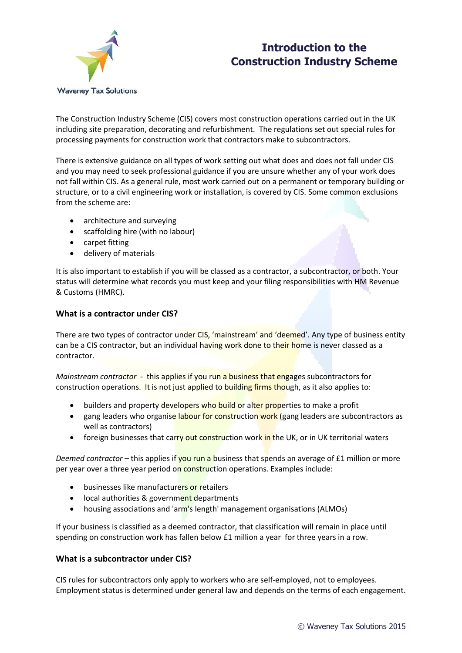



The Construction Industry Scheme (CIS) covers most construction operations carried out in the UK including site preparation, decorating and refurbishment. The regulations set out special rules for processing payments for construction work that contractors make to subcontractors.

There is extensive guidance on all types of work setting out what does and does not fall under CIS and you may need to seek professional guidance if you are unsure whether any of your work does not fall within CIS. As a general rule, most work carried out on a permanent or temporary building or structure, or to a civil engineering work or installation, is covered by CIS. Some common exclusions from the scheme are:

- architecture and surveying
- scaffolding hire (with no labour)
- carpet fitting
- delivery of materials

It is also important to establish if you will be classed as a contractor, a subcontractor, or both. Your status will determine what records you must keep and your filing responsibilities with HM Revenue & Customs (HMRC).

## **What is a contractor under CIS?**

There are two types of contractor under CIS, 'mainstream' and 'deemed'. Any type of business entity can be a CIS contractor, but an individual having work done to their home is never classed as a contractor.

*Mainstream contractor* - this applies if you run a business that engages subcontractors for construction operations. It is not just applied to building firms though, as it also applies to:

- builders and property developers who build or alter properties to make a profit
- gang leaders who organise labour for construction work (gang leaders are subcontractors as well as contractors)
- foreign businesses that carry out construction work in the UK, or in UK territorial waters

*Deemed contractor –* this applies if you run a business that spends an average of £1 million or more per year over a three year period on construction operations. Examples include:

- businesses like manufacturers or retailers
- local authorities & government departments
- housing associations and 'arm's length' management organisations (ALMOs)

If your business is classified as a deemed contractor, that classification will remain in place until spending on construction work has fallen below £1 million a year for three years in a row.

### **What is a subcontractor under CIS?**

CIS rules for subcontractors only apply to workers who are self-employed, not to employees. Employment status is determined under general law and depends on the terms of each engagement.